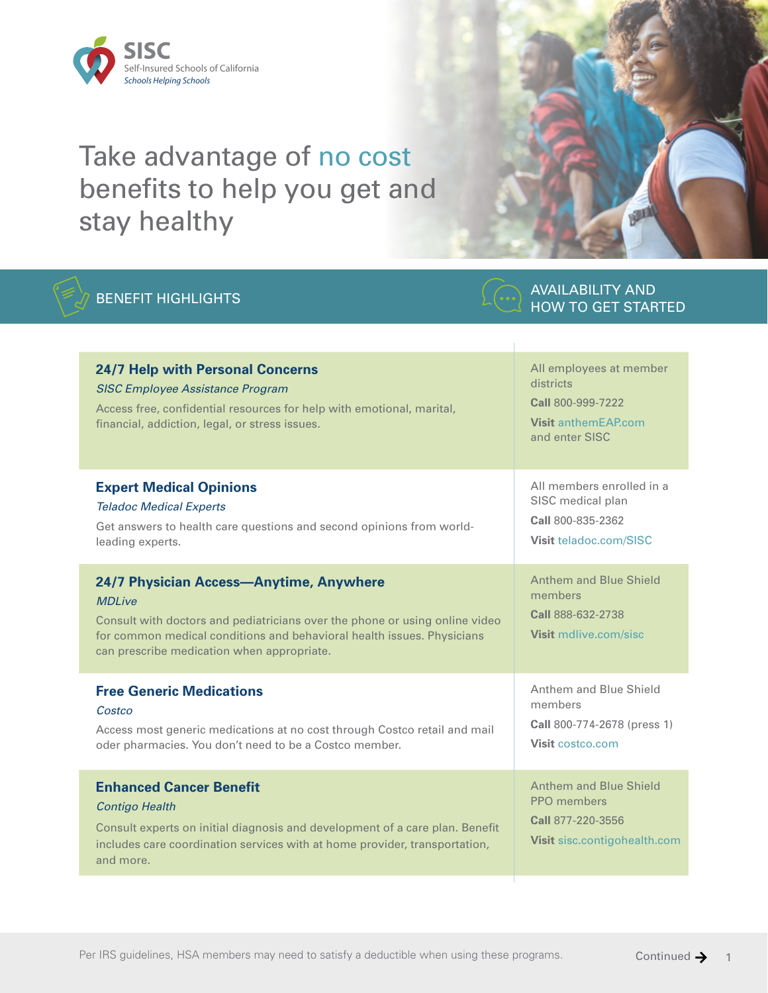

## Take advantage of no cost benefits to help you get and stay healthy

## BENEFIT HIGHLIGHTS AND ANAILABILITY AND ARREST FIXES



HOW TO GET STARTED

## **24/7 Help with Personal Concerns** *SISC Employee Assistance Program*  Access free, confidential resources for help with emotional, marital, financial, addiction, legal, or stress issues. All employees at member districts **Call** 800-999-7222 **Visit** [anthemEAP.com](http://anthemEAP.com) and enter SISC **Expert Medical Opinions**  *Teladoc Medical Experts* Get answers to health care questions and second opinions from worldleading experts. All members enrolled in a SISC medical plan **Call** 800-835-2362 **Visit** [teladoc.com/SISC](http://teladoc.com/SISC) **24/7 Physician Access—Anytime, Anywhere** *MDLive* Consult with doctors and pediatricians over the phone or using online video for common medical conditions and behavioral health issues. Physicians can prescribe medication when appropriate. Anthem and Blue Shield members **Call** 888-632-2738 **Visit** [mdlive.com/sisc](http://mdlive.com/sisc) **Free Generic Medications** *Costco* Access most generic medications at no cost through Costco retail and mail oder pharmacies. You don't need to be a Costco member. Anthem and Blue Shield members **Call** 800-774-2678 (press 1) **Visit** [costco.com](http://costco.com) **Enhanced Cancer Benefit** *Contigo Health* Consult experts on initial diagnosis and development of a care plan. Benefit includes care coordination services with at home provider, transportation, and more. Anthem and Blue Shield PPO members **Call** 877-220-3556 **Visit** [sisc.contigohealth.com](http://sisc.contigohealth.com)